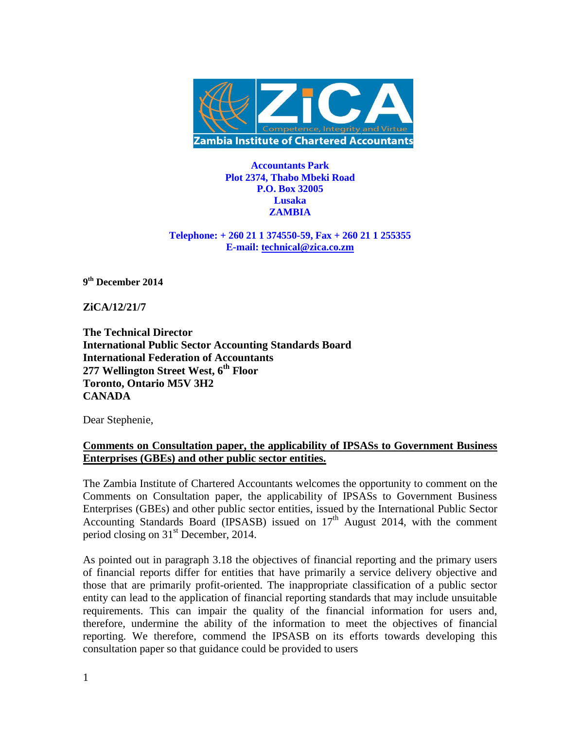

**Accountants Park Plot 2374, Thabo Mbeki Road P.O. Box 32005 Lusaka ZAMBIA**

**Telephone: + 260 21 1 374550-59, Fax + 260 21 1 255355 E-mail: [technical@zica.co.zm](mailto:technical@zica.co.zm)**

**9 th December 2014**

**ZiCA/12/21/7**

**The Technical Director International Public Sector Accounting Standards Board International Federation of Accountants 277 Wellington Street West, 6th Floor Toronto, Ontario M5V 3H2 CANADA**

Dear Stephenie,

# **Comments on Consultation paper, the applicability of IPSASs to Government Business Enterprises (GBEs) and other public sector entities.**

The Zambia Institute of Chartered Accountants welcomes the opportunity to comment on the Comments on Consultation paper, the applicability of IPSASs to Government Business Enterprises (GBEs) and other public sector entities, issued by the International Public Sector Accounting Standards Board (IPSASB) issued on  $17<sup>th</sup>$  August 2014, with the comment period closing on 31<sup>st</sup> December, 2014.

As pointed out in paragraph 3.18 the objectives of financial reporting and the primary users of financial reports differ for entities that have primarily a service delivery objective and those that are primarily profit-oriented. The inappropriate classification of a public sector entity can lead to the application of financial reporting standards that may include unsuitable requirements. This can impair the quality of the financial information for users and, therefore, undermine the ability of the information to meet the objectives of financial reporting. We therefore, commend the IPSASB on its efforts towards developing this consultation paper so that guidance could be provided to users